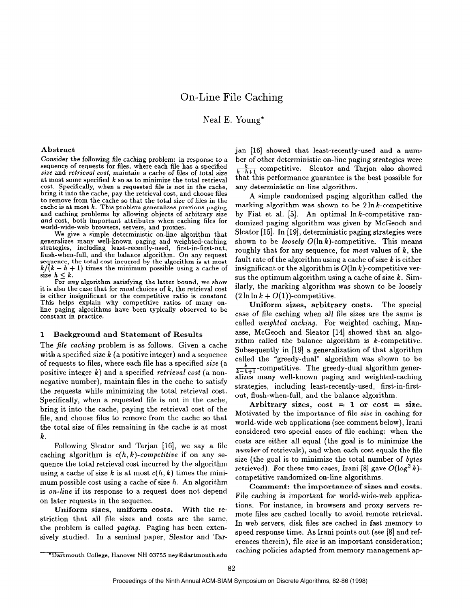Neal E. Young\*

## Abstract

Consider the following file caching problem: in response to a sequence of requests for files, where each file has a specified size and retrieval cost, maintain a cache of files of total size at most some specified  $k$  so as to minimize the total retrieval cost. Specifically, when a requested file is not in the cache, bring it into the cache, pay the retrieval cost, and choose files to remove from the cache so that the total size of files in the cache is at most  $k$ . This problem generalizes previous paging and caching problems by allowing objects of arbitrary size and cost, both important attributes when caching files for world-wide-web browsers, servers, and proxies.

We give a simple deterministic on-line algorithm that generalizes many well-known paging and weighted-caching strategies, including least-recently-used, first-in-first-out, flush-when-full, and the balance algorithm. On any request sequence, the total cost incurred by the algorithm is at most  $k/(k-h+1)$  times the minimum possible using a cache of size  $h \leq k$ .

For any algorithm satisfying the latter bound, we show it is also the case that for most choices of  $k$ , the retrieval cost is either insignificant or the competitive ratio is constant. This helps explain why competitive ratios of many online paging algorithms have been typically observed to be constant in practice.

# 1 Background and Statement of Results

The file caching problem is as follows. Given a cache with a specified size  $k$  (a positive integer) and a sequence of requests to files, where each file has a specified size (a positive integer  $k$ ) and a specified retrieval cost (a nonnegative number), maintain files in the cache to satisfy the requests while minimizing the total retrieval cost. Specifically, when a requested file is not in the cache, bring it into the cache, paying the retrieval cost of the file, and choose files to remove from the cache so that the total size of files remaining in the cache is at most k.

Following Sleator and Tarjan [16], we say a file caching algorithm is  $c(h, k)$ -competitive if on any sequence the total retrieval cost incurred by the algorithm using a cache of size k is at most  $c(h, k)$  times the minimum possible cost using a cache of size  $h$ . An algorithm is on-line if its response to a request does not depend on later requests in the sequence.

Uniform sizes, uniform costs. With the restriction that all file sizes and costs are the same, the problem is called paging. Paging has been extensively studied. In a seminal paper, Sleator and Tarjan [16] showed that least-recently-used and a number of other deterministic on-line paging strategies were  $\frac{k}{k-h+1}$ -competitive. Sleator and Tarjan also showed that this performance guarantee is the best possible for any deterministic on-line algorithm.

A simple randomized paging algorithm called the marking algorithm was shown to be  $2 \ln k$ -competitive by Fiat et al.  $[5]$ . An optimal  $\ln k$ -competitive randomized paging algorithm was given by McGeoch and Sleator [15]. In [19], deterministic paging strategies were shown to be *loosely*  $O(\ln k)$ -competitive. This means roughly that for any sequence, for most values of  $k$ , the fault rate of the algorithm using a cache of size  $k$  is either insignificant or the algorithm is  $O(\ln k)$ -competitive versus the optimum algorithm using a cache of size  $k$ . Similarly, the marking algorithm was shown to be loosely  $(2 \ln \ln k + O(1))$ -competitive.

Uniform sizes, arbitrary costs. The special case of file caching when all file sizes are the same is called weighted caching. For weighted caching, Manasse, McGeoch and Sleator [14] showed that an algorithm called the balance algorithm is  $k$ -competitive. Subsequently in [19] a generalization of that algorithm called the "greedy-dual" algorithm was shown to be  $\frac{k}{k-h+1}$ -competitive. The greedy-dual algorithm generalizes many well-known paging and weighted-caching strategies, including least-recently-used, first-in-firstout, flush-when-full, and the balance algorithm.

Arbitrary sizes,  $\text{cost} = 1$  or  $\text{cost} = \text{size}$ . Motivated by the importance of file size in caching for world-wide-web applications (see comment below), Irani considered two special cases of file caching: when the costs are either all equal (the goal is to minimize the number of retrievals), and when each cost equals the file size (the goal is to minimize the total number of bytes retrieved). For these two cases, Irani [8] gave  $O(\log^2 k)$ competitive randomized on-line algorithms.

Comment: the importance of sizes and costs. File caching is important for world-wide-web applications. For instance, in browsers and proxy servers remote files are cached locally to avoid remote retrieval. In web servers, disk files are cached in fast memory to speed response time. As Irani points out (see [8] and references therein), file size is an important consideration; caching policies adapted from memory management ap-

<sup>\*</sup>Dartmouth College, Hanover NH 03755 ney@dartmouth.edu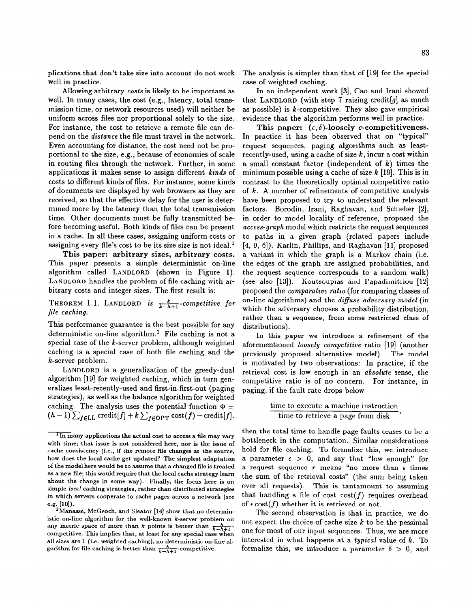plications that don't take size into account do not work well in practice.

Allowing arbitrary costs is likely to be important as well. In many cases, the cost (e.g., latency, total transmission time, or network resources used) will neither be uniform across files nor proportional solely to the size. For instance, the cost to retrieve a remote file can depend on the distance the file must travel in the network. Even accounting for distance, the cost need not be proportional to the size, e.g., because of economies of scale in routing files through the network. Further, in some applications it makes sense to assign different kinds of costs to different kinds of files. For instance, some kinds of documents are displayed by web browsers as they are received, so that the effective delay for the user is determined more by the latency than the total transmission time. Other documents must be fully transmitted before becoming useful. Both kinds of files can be present in a cache. In all these cases, assigning uniform costs or assigning every file's cost to be its size size is not ideal. $<sup>1</sup>$ </sup>

This paper: arbitrary sizes, arbitrary costs. This paper presents a simple deterministic on-line algorithm called LANDLORD (shown in Figure 1). LANDLORD handles the problem of file caching with arbitrary costs and integer sizes. The first result is:

THEOREM 1.1. LANDLORD is  $\frac{k}{k-h+1}$ -competitive for file caching.

This performance guarantee is the best possible for any deterministic on-line algorithm.2 File caching is not a special case of the k-server problem, although weighted caching is a special case of both file caching and the k-server problem.

LANDLORD is a generalization of the greedy-dual algorithm [19] for weighted caching, which in turn generalizes least-recently-used and first-in-first-out (paging strategies), as well as the balance algorithm for weighted caching. The analysis uses the potential function  $\Phi =$  $(h-1)\sum_{f\in LL}$  credit $[f]+k\sum_{f\in {\rm OPT}} \text{cost}(f)$  - credit $[f]$ .

The analysis is simpler than that of [19] for the special case of weighted caching.

In an independent work [3], Cao and Irani showed that LANDLORD (with step 7 raising credit [g] as much as possible) is  $k$ -competitive. They also gave empirical evidence that the algorithm performs well in practice.

This paper:  $(\epsilon, \delta)$ -loosely c-competitiveness. In practice it has been observed that on "typical" request sequences, paging algorithms such as leastrecently-used, using a cache of size  $k$ , incur a cost within a small constant factor (independent of  $k$ ) times the minimum possible using a cache of size  $k$  [19]. This is in contrast to the theoretically optimal competitive ratio of  $k$ . A number of refinements of competitive analysis have been proposed to try to understand the relevant factors. Borodin, Irani, Raghavan, and Schieber [2], in order to model locality of reference, proposed the access-graph model which restricts the request sequences to paths in a given graph (related papers include  $[4, 9, 6]$ . Karlin, Phillips, and Raghavan  $[11]$  proposed a variant in which the graph is a Markov chain (i.e. the edges of the graph are assigned probabilities, and the request sequence corresponds to a random walk) (see also [13]). Koutsoupias and Papadimitriou [12] proposed the comparative ratio (for comparing classes of on-line algorithms) and the diffuse adversary model (in which the adversary chooses a probability distribution, rather than a sequence, from some restricted class of distributions).

In this paper we introduce a refinement of the aforementioned loosely competitive ratio [19] (another previously proposed alternative model). The model is motivated by two observations: In practice, if the retrieval cost is low enough in an absolute sense, the competitive ratio is of no concern. For instance, in paging, if the fault rate drops below

> time to execute a machine instruction time to retrieve a page from disk '

then the total time to handle page faults ceases to be a bottleneck in the computation. Similar considerations hold for file caching. To formalize this, we introduce a parameter  $\epsilon > 0$ , and say that "low enough" for a request sequence  $r$  means "no more than  $\epsilon$  times the sum of the retrieval costs" (the sum being taken over all requests). This is tantamount to assuming that handling a file of cost  $cost(f)$  requires overhead of  $\epsilon \cot(f)$  whether it is retrieved or not.

The second observation is that in practice, we do not expect the choice of cache size  $k$  to be the pessimal one for most of our input sequences. Thus, we are more interested in what happens at a typical value of  $k$ . To formalize this, we introduce a parameter  $\delta > 0$ , and

 $\overline{^{1}}$ In many applications the actual cost to access a file may vary with time; that issue is not considered here, nor is the issue of cache consistency (i.e., if the remote file changes at the source, how does the local cache get updated? The simplest adaptation of the model here would be to assume that a changed file is treated as a new file; this would require that the local cache strategy learn about the change in some way). Finally, the focus here is on simple local caching strategies, rather than distributed strategies in which servers cooperate to cache pages across a network (see  $e.g. [10].$ 

<sup>2</sup>Manasse, McGeoch, and Sleator [14] show that no deterministic on-line algorithm for the well-known k-server problem on any metric space of more than k points is better than  $\frac{k}{k-h+1}$ . competitive. This implies that, at least for any special case when all sizes are 1 (i.e. weighted caching), no deterministic on-line algorithm for file caching is better than  $\frac{k}{k-h+1}$ -competitive.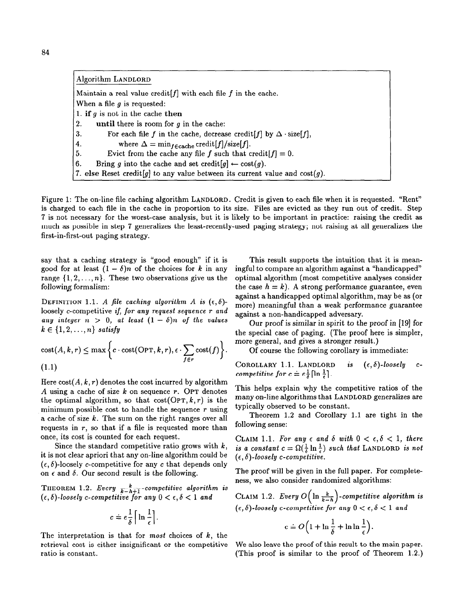| Algorithm LANDLORD                                                                         |
|--------------------------------------------------------------------------------------------|
| Maintain a real value credit $[f]$ with each file $f$ in the cache.                        |
| When a file $g$ is requested:                                                              |
| 1. if g is not in the cache then                                                           |
| $\overline{2}$ .<br>until there is room for $g$ in the cache:                              |
| For each file f in the cache, decrease credit [f] by $\Delta \cdot \text{size}[f]$ ,<br>3. |
| where $\Delta = \min_{f \in \text{cache}} \text{credit}[f] / \text{size}[f].$<br>  4.      |
| 5.<br>Evict from the cache any file f such that credit $[f] = 0$ .                         |
| Bring g into the cache and set credit $[g] \leftarrow \text{cost}(g)$ .<br> 6.             |
| 7. else Reset credit [g] to any value between its current value and $cost(g)$ .            |

Figure 1: The on-line file caching algorithm LANDLORD. Credit is given to each file when it is requested. "Rent" is charged to each file in the cache in proportion to its size. Files are evicted as they run out of credit. Step 7 is not necessary for the worst-case analysis, but it is likely to be important in practice: raising the credit as much as possible in step 7 generalizes the least-recently-used paging strategy; not raising at all generalizes the first-in-first-out paging strategy.

say that a caching strategy is "good enough" if it is good for at least  $(1 - \delta)n$  of the choices for k in any range  $\{1, 2, ..., n\}$ . These two observations give us the following formalism:

DEFINITION 1.1. A file caching algorithm A is  $(\epsilon, \delta)$ loosely c-competitive if, for any request sequence r and any integer  $n > 0$ , at least  $(1 - \delta)n$  of the values  $k \in \{1, 2, \ldots, n\}$  satisfy

$$
\text{cost}(A, k, r) \leq \max \left\{ c \cdot \text{cost}(\text{OPT}, k, r), \epsilon \cdot \sum_{f \in r} \text{cost}(f) \right\}.
$$
\n(1.1)

Here  $cost(A, k, r)$  denotes the cost incurred by algorithm A using a cache of size  $k$  on sequence r. OPT denotes the optimal algorithm, so that  $cost(OPT, k, r)$  is the minimum possible cost to handle the sequence  $r$  using a cache of size  $k$ . The sum on the right ranges over all requests in  $r$ , so that if a file is requested more than once, its cost is counted for each request.

Since the standard competitive ratio grows with  $k$ , it is not clear apriori that any on-line algorithm could be  $(\epsilon, \delta)$ -loosely c-competitive for any c that depends only on  $\epsilon$  and  $\delta$ . Our second result is the following.

THEOREM 1.2. Every  $\frac{k}{k-h+1}$ -competitive algorithm is  $(\epsilon, \delta)$ -loosely c-competitive for any  $0 < \epsilon, \delta < 1$  and

$$
c \doteq e \frac{1}{\delta} \left[ \ln \frac{1}{\epsilon} \right].
$$

The interpretation is that for most choices of  $k$ , the retrieval cost is either insignificant or the competitive ratio is constant.

This result supports the intuition that it is meaningful to compare an algorithm against a "handicapped" optimal algorithm (most competitive analyses consider the case  $h = k$ ). A strong performance guarantee, even against a handicapped optimal algorithm, may be as (or more) meaningful than a weak performance guarantee against a non-handicapped adversary.

Our proof is similar in spirit to the proof in [19] for the special case of paging. (The proof here is simpler, more general, and gives a stronger result.)

Of course the following corollary is immediate:

COROLLARY 1.1. LANDLORD is 
$$
(\epsilon, \delta)
$$
-loosely c-  
competitive for  $c = e^{\frac{1}{2}}[\ln \frac{1}{2}]$ .

This helps explain why the competitive ratios of the many on-line algorithms that LANDLORD generalizes are typically observed to be constant.

Theorem 1.2 and Corollary 1.1 are tight in the following sense:

CLAIM 1.1. For any  $\epsilon$  and  $\delta$  with  $0 < \epsilon, \delta < 1$ , there is a constant  $c = \Omega(\frac{1}{5} \ln \frac{1}{5})$  such that LANDLORD is not  $(\epsilon, \delta)$ -loosely c-competitive.

The proof will be given in the full paper. For completeness, we also consider randomized algorithms:

CLAIM 1.2. Every  $O\left(\ln\frac{\kappa}{k-h}\right)$ -competitive algorithm is  $(\epsilon, \delta)$ -loosely c-competitive for any  $0 < \epsilon, \delta < 1$  and

$$
c \doteq O\Big(1 + \ln\frac{1}{\delta} + \ln\ln\frac{1}{\epsilon}\Big).
$$

We also leave the proof of this result to the main paper. (This proof is similar to the proof of Theorem 1.2.)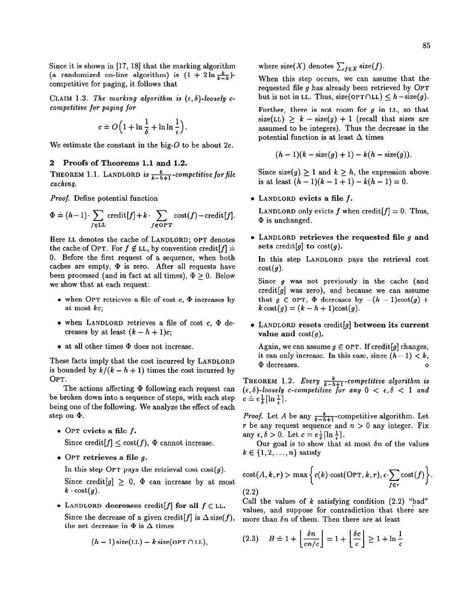Since it is shown in  $[17, 18]$  that the marking algorithm (a randomized on-line algorithm) is  $(1 + 2 \ln \frac{k}{k-h})$ competitive for paging, it follows that

CLAIM 1.3. The marking algorithm is  $(\epsilon, \delta)$ -loosely ccompetitive for paging for

$$
c \doteq O\Big(1 + \ln\frac{1}{\delta} + \ln\ln\frac{1}{\epsilon}\Big).
$$

We estimate the constant in the big- $O$  to be about  $2e$ .

# 2 Proofs of Theorems 1.1 and 1.2.

THEOREM 1.1. LANDLORD is  $\frac{k}{k-h+1}$ -competitive for file caching.

Proof. Define potential function

$$
\Phi = (h-1) \cdot \sum_{f \in LL} \operatorname{credit}[f] + k \cdot \sum_{f \in \operatorname{OPT}} \operatorname{cost}(f) - \operatorname{credit}[f].
$$

Here LL denotes the cache of LANDLORD; OPT denotes the cache of OPT. For  $f \notin LL$ , by convention credit $[f] =$ 0. Before the first request of a sequence, when both caches are empty,  $\Phi$  is zero. After all requests have been processed (and in fact at all times),  $\Phi > 0$ . Below we show that at each request:

- $\bullet$  when OPT retrieves a file of cost c,  $\Phi$  increases by at most kc;
- $\bullet$  when LANDLORD retrieves a file of cost c,  $\Phi$  decreases by at least  $(k - h + 1)c$ ;
- at all other times @ does not increase.

These facts imply that the cost incurred by LANDLORD is bounded by  $k/(k - h + 1)$  times the cost incurred by OPT.

The actions affecting  $\Phi$  following each request can be broken down into a sequence of steps, with each step being one of the following. We analyze the effect of each step on  $\Phi$ .

 $\bullet$  OPT evicts a file f.

Since credit  $[f] \leq \text{cost}(f)$ ,  $\Phi$  cannot increase.

 $\bullet$  OPT retrieves a file q.

In this step OPT pays the retrieval cost  $cost(q)$ .

Since credit  $[g] \geq 0$ ,  $\Phi$  can increase by at most  $k \cdot \text{cost}(g)$ .

• LANDLORD decreases credit [f] for all  $f \in LL$ .

Since the decrease of a given credit [f] is  $\Delta$  size(f), the net decrease in  $\Phi$  is  $\Delta$  times

$$
(h-1)
$$
 size $(LL) - k$  size( $OPT \cap LL$ ),

where size(X) denotes  $\sum_{f \in X}$  size(f).

When this step occurs, we can assume that the requested file g has already been retrieved by OPT but is not in LL. Thus, size(OPT $\cap$ LL)  $\leq h-\text{size}(g)$ .

Further, there is not room for  $g$  in LL, so that  $size(LL) \geq k - size(g) + 1$  (recall that sizes are assumed to be integers). Thus the decrease in the potential function is at least  $\Delta$  times

$$
(h-1)(k-\text{size}(g)+1)-k(h-\text{size}(g)).
$$

Since size(g)  $\geq 1$  and  $k \geq h$ , the expression above is at least  $(h-1)(k-1+1) - k(h-1) = 0$ .

LANDLORD evicts a file f.

LANDLORD only evicts f when credit  $[f] = 0$ . Thus,  $\Phi$  is unchanged.

 $\bullet$  LANDLORD retrieves the requested file g and sets credit  $[g]$  to cost $(g)$ .

In this step LANDLORD pays the retrieval cost  $cost(g)$ .

Since g was not previously in the cache (and credit $[g]$  was zero), and because we can assume that  $g \in \text{OPT}$ ,  $\Phi$  decreases by  $-(h - 1)\text{cost}(g) +$  $k \cos(t) = (k - h + 1) \cos(t)$ .

 $\bullet$  LANDLORD resets credit [g] between its current value and  $cost(g)$ .

Again, we can assume  $g \in \text{OPT}$ . If credit [g] changes, it can only increase. In this case, since  $(h-1) < k$ ,  $\Phi$  decreases.

THEOREM 1.2. Every  $\frac{k}{k-h+1}$ -competitive algorithm is  $(\epsilon, \delta)$ -loosely c-competitive for any  $0 < \epsilon, \delta < 1$  and  $c \doteq e \frac{1}{\delta} \left[ \ln \frac{1}{\epsilon} \right].$ 

*Proof.* Let A be any  $\frac{k}{k-h+1}$ -competitive algorithm. Let r be any request sequence and  $n > 0$  any integer. Fix any  $\epsilon, \delta > 0$ . Let  $c = e \frac{1}{\delta} \left[ \ln \frac{1}{\epsilon} \right]$ .

Our goal is to show that at most  $\delta n$  of the values  $k \in \{1,2,\ldots,n\}$  satisfy

cost
$$
(A, k, r)
$$
 > max  $\left\{ c(k) \cdot \text{cost}(\text{OPT}, k, r), \epsilon \cdot \sum_{f \in r} \text{cost}(f) \right\}.$   
(2.2)

Call the values of k satisfying condition  $(2.2)$  "bad" values, and suppose for contradiction that there are more than  $\delta n$  of them. Then there are at least

$$
(2.3) \quad B \doteq 1 + \left\lfloor \frac{\delta n}{en/c} \right\rfloor = 1 + \left\lfloor \frac{\delta c}{c} \right\rfloor \ge 1 + \ln \frac{1}{\epsilon}
$$